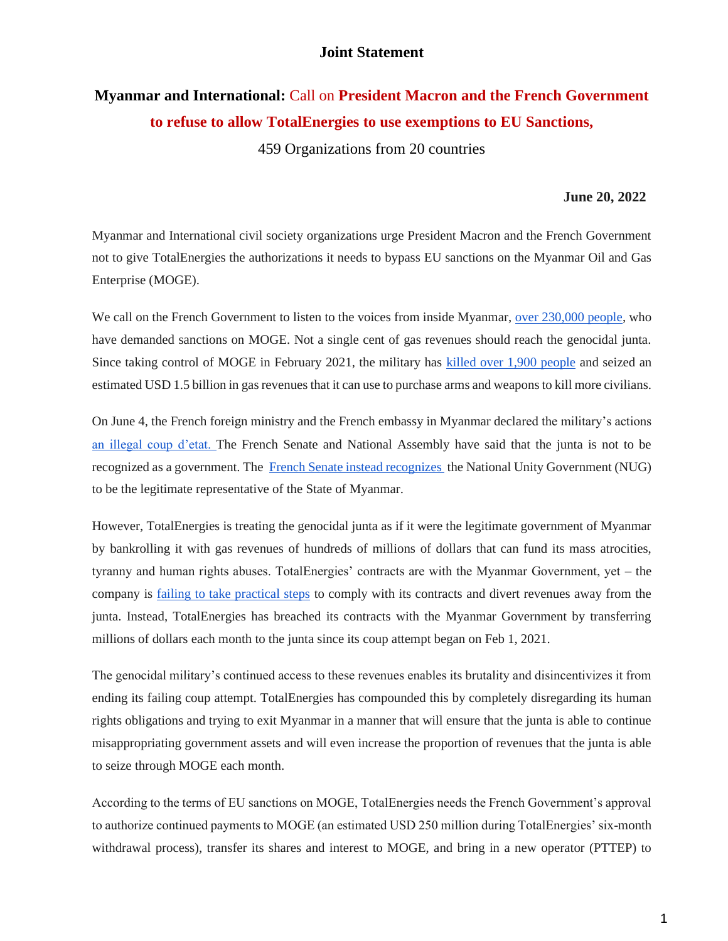### **Joint Statement**

# **Myanmar and International:** Call on **President Macron and the French Government to refuse to allow TotalEnergies to use exemptions to EU Sanctions,**

459 Organizations from 20 countries

#### **June 20, 2022**

Myanmar and International civil society organizations urge President Macron and the French Government not to give TotalEnergies the authorizations it needs to bypass EU sanctions on the Myanmar Oil and Gas Enterprise (MOGE).

We call on the French Government to listen to the voices from inside Myanmar, [over 230,000 people,](https://bit.ly/oilgasmyanmar) who have demanded sanctions on MOGE. Not a single cent of gas revenues should reach the genocidal junta. Since taking control of MOGE in February 2021, the military has [killed over 1,900 people](https://coup.aappb.org/?fbclid=IwAR3b6pix19SMO0NAYmUvZZdU6EIIwg3sdYZWBcKwf9D3Nrb7ZrbCZG7C0zM) and seized an estimated USD 1.5 billion in gas revenues that it can use to purchase arms and weapons to kill more civilians.

On June 4, the French foreign ministry and the French embassy in Myanmar declared the military's action[s](https://www.diplomatie.gouv.fr/fr/dossiers-pays/birmanie/evenements/article/birmanie-la-france-condamne-la-decision-d-executer-les-condamnes-a-mort-04-06?fbclid=IwAR1rT2v7PsZVQY1Bqlv5kN7BtmRpnubMJvJTSkw5hOcHBnnBeG_Brs_HCH8) [an illegal coup d'etat. T](https://www.diplomatie.gouv.fr/fr/dossiers-pays/birmanie/evenements/article/birmanie-la-france-condamne-la-decision-d-executer-les-condamnes-a-mort-04-06?fbclid=IwAR1rT2v7PsZVQY1Bqlv5kN7BtmRpnubMJvJTSkw5hOcHBnnBeG_Brs_HCH8)he French Senate and National Assembly have said that the junta is not to be recognized as a government. The [French Senate instead recognizes](https://www.ituc-csi.org/french-senate-recognises-myanmar) the National Unity Government (NUG) to be the legitimate representative of the State of Myanmar.

However, TotalEnergies is treating the genocidal junta as if it were the legitimate government of Myanmar by bankrolling it with gas revenues of hundreds of millions of dollars that can fund its mass atrocities, tyranny and human rights abuses. TotalEnergies' contracts are with the Myanmar Government, yet – the company is [failing to take practical steps](https://earthrights.org/publication/briefer-how-totalenergies-and-chevron-can-divest-responsibly-from-myanmar/) to comply with its contracts and divert revenues away from the junta. Instead, TotalEnergies has breached its contracts with the Myanmar Government by transferring millions of dollars each month to the junta since its coup attempt began on Feb 1, 2021.

The genocidal military's continued access to these revenues enables its brutality and disincentivizes it from ending its failing coup attempt. TotalEnergies has compounded this by completely disregarding its human rights obligations and trying to exit Myanmar in a manner that will ensure that the junta is able to continue misappropriating government assets and will even increase the proportion of revenues that the junta is able to seize through MOGE each month.

According to the terms of EU sanctions on MOGE, TotalEnergies needs the French Government's approval to authorize continued payments to MOGE (an estimated USD 250 million during TotalEnergies' six-month withdrawal process), transfer its shares and interest to MOGE, and bring in a new operator (PTTEP) to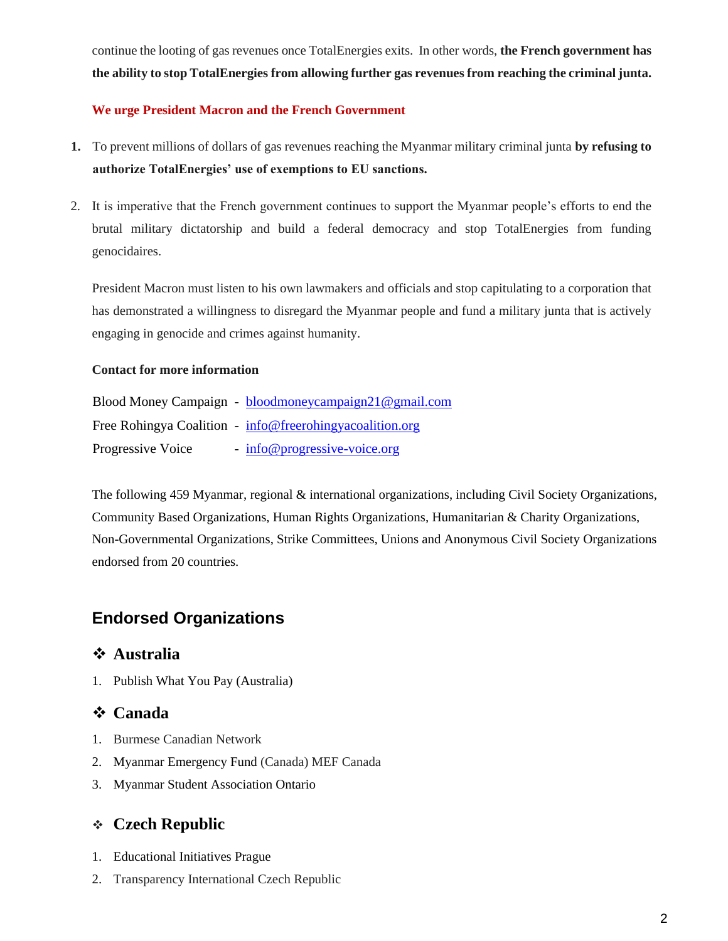continue the looting of gas revenues once TotalEnergies exits. In other words, **the French government has the ability to stop TotalEnergies from allowing further gas revenues from reaching the criminal junta.**

### **We urge President Macron and the French Government**

- **1.** To prevent millions of dollars of gas revenues reaching the Myanmar military criminal junta **by refusing to authorize TotalEnergies' use of exemptions to EU sanctions.**
- 2. It is imperative that the French government continues to support the Myanmar people's efforts to end the brutal military dictatorship and build a federal democracy and stop TotalEnergies from funding genocidaires.

President Macron must listen to his own lawmakers and officials and stop capitulating to a corporation that has demonstrated a willingness to disregard the Myanmar people and fund a military junta that is actively engaging in genocide and crimes against humanity.

#### **Contact for more information**

|                   | Blood Money Campaign - bloodmoneycampaign21@gmail.com    |
|-------------------|----------------------------------------------------------|
|                   | Free Rohingya Coalition - info@freerohingyacoalition.org |
| Progressive Voice | <u>info@progressive-voice.org</u>                        |

The following 459 Myanmar, regional & international organizations, including Civil Society Organizations, Community Based Organizations, Human Rights Organizations, Humanitarian & Charity Organizations, Non-Governmental Organizations, Strike Committees, Unions and Anonymous Civil Society Organizations endorsed from 20 countries.

# **Endorsed Organizations**

### ❖ **Australia**

1. Publish What You Pay (Australia)

# ❖ **Canada**

- 1. Burmese Canadian Network
- 2. Myanmar Emergency Fund (Canada) MEF Canada
- 3. Myanmar Student Association Ontario

# ❖ **Czech Republic**

- 1. Educational Initiatives Prague
- 2. Transparency International Czech Republic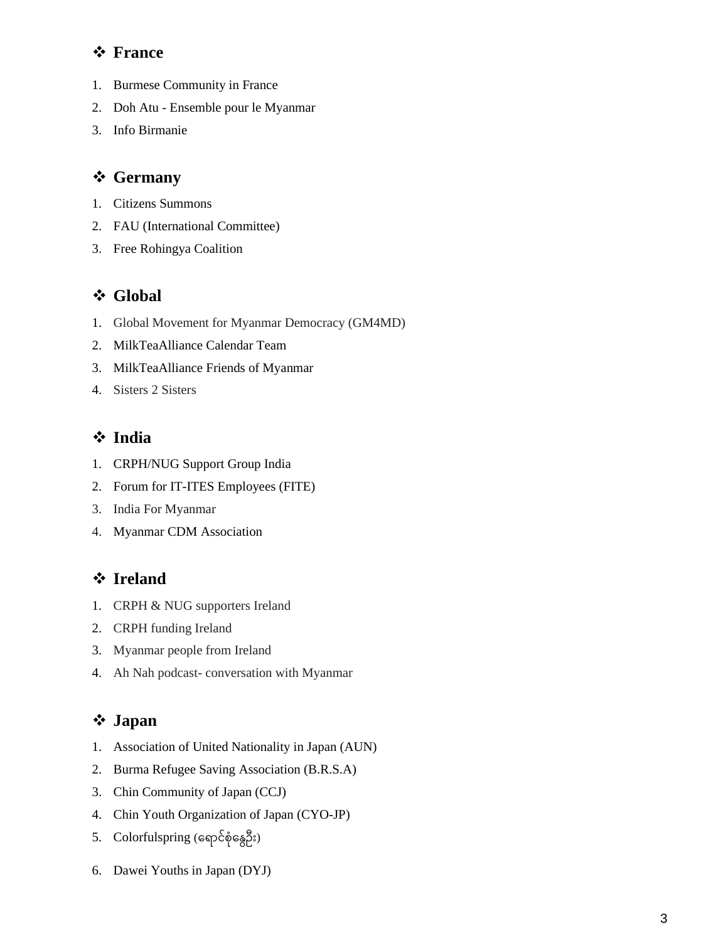## ❖ **France**

- 1. Burmese Community in France
- 2. Doh Atu Ensemble pour le Myanmar
- 3. Info Birmanie

## ❖ **Germany**

- 1. Citizens Summons
- 2. FAU (International Committee)
- 3. Free Rohingya Coalition

# ❖ **Global**

- 1. Global Movement for Myanmar Democracy (GM4MD)
- 2. MilkTeaAlliance Calendar Team
- 3. MilkTeaAlliance Friends of Myanmar
- 4. Sisters 2 Sisters

## ❖ **India**

- 1. CRPH/NUG Support Group India
- 2. Forum for IT-ITES Employees (FITE)
- 3. India For Myanmar
- 4. Myanmar CDM Association

# ❖ **Ireland**

- 1. CRPH & NUG supporters Ireland
- 2. CRPH funding Ireland
- 3. Myanmar people from Ireland
- 4. Ah Nah podcast- conversation with Myanmar

## ❖ **Japan**

- 1. Association of United Nationality in Japan (AUN)
- 2. Burma Refugee Saving Association (B.R.S.A)
- 3. Chin Community of Japan (CCJ)
- 4. Chin Youth Organization of Japan (CYO-JP)
- 5.  $Color( \rho \geq 5)$
- 6. Dawei Youths in Japan (DYJ)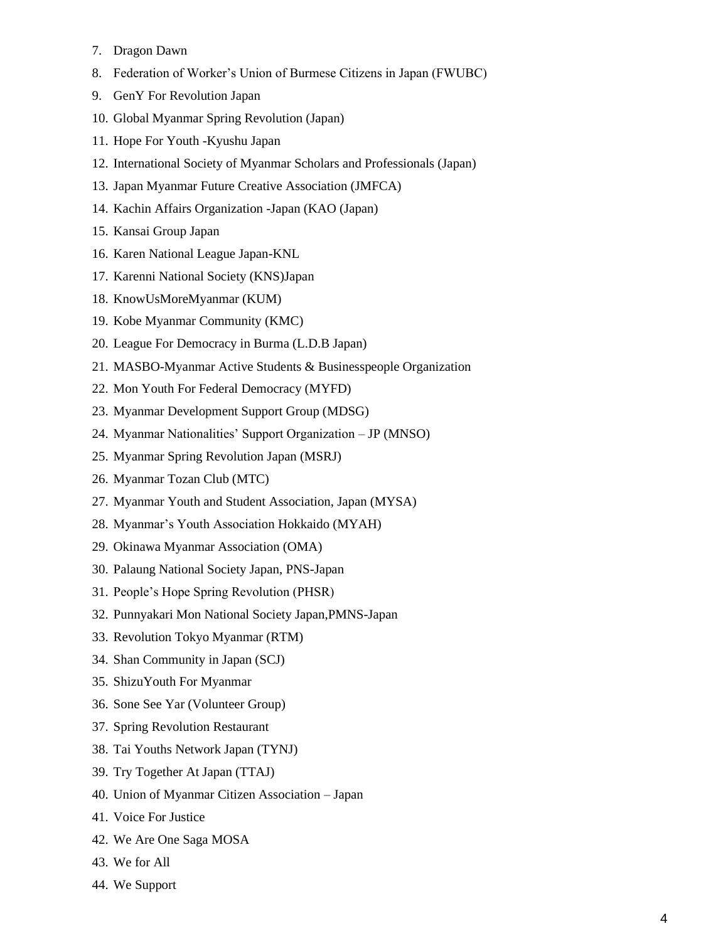- 7. Dragon Dawn
- 8. Federation of Worker's Union of Burmese Citizens in Japan (FWUBC)
- 9. GenY For Revolution Japan
- 10. Global Myanmar Spring Revolution (Japan)
- 11. Hope For Youth -Kyushu Japan
- 12. International Society of Myanmar Scholars and Professionals (Japan)
- 13. Japan Myanmar Future Creative Association (JMFCA)
- 14. Kachin Affairs Organization -Japan (KAO (Japan)
- 15. Kansai Group Japan
- 16. Karen National League Japan-KNL
- 17. Karenni National Society (KNS)Japan
- 18. KnowUsMoreMyanmar (KUM)
- 19. Kobe Myanmar Community (KMC)
- 20. League For Democracy in Burma (L.D.B Japan)
- 21. MASBO-Myanmar Active Students & Businesspeople Organization
- 22. Mon Youth For Federal Democracy (MYFD)
- 23. Myanmar Development Support Group (MDSG)
- 24. Myanmar Nationalities' Support Organization JP (MNSO)
- 25. Myanmar Spring Revolution Japan (MSRJ)
- 26. Myanmar Tozan Club (MTC)
- 27. Myanmar Youth and Student Association, Japan (MYSA)
- 28. Myanmar's Youth Association Hokkaido (MYAH)
- 29. Okinawa Myanmar Association (OMA)
- 30. Palaung National Society Japan, PNS-Japan
- 31. People's Hope Spring Revolution (PHSR)
- 32. Punnyakari Mon National Society Japan,PMNS-Japan
- 33. Revolution Tokyo Myanmar (RTM)
- 34. Shan Community in Japan (SCJ)
- 35. ShizuYouth For Myanmar
- 36. Sone See Yar (Volunteer Group)
- 37. Spring Revolution Restaurant
- 38. Tai Youths Network Japan (TYNJ)
- 39. Try Together At Japan (TTAJ)
- 40. Union of Myanmar Citizen Association Japan
- 41. Voice For Justice
- 42. We Are One Saga MOSA
- 43. We for All
- 44. We Support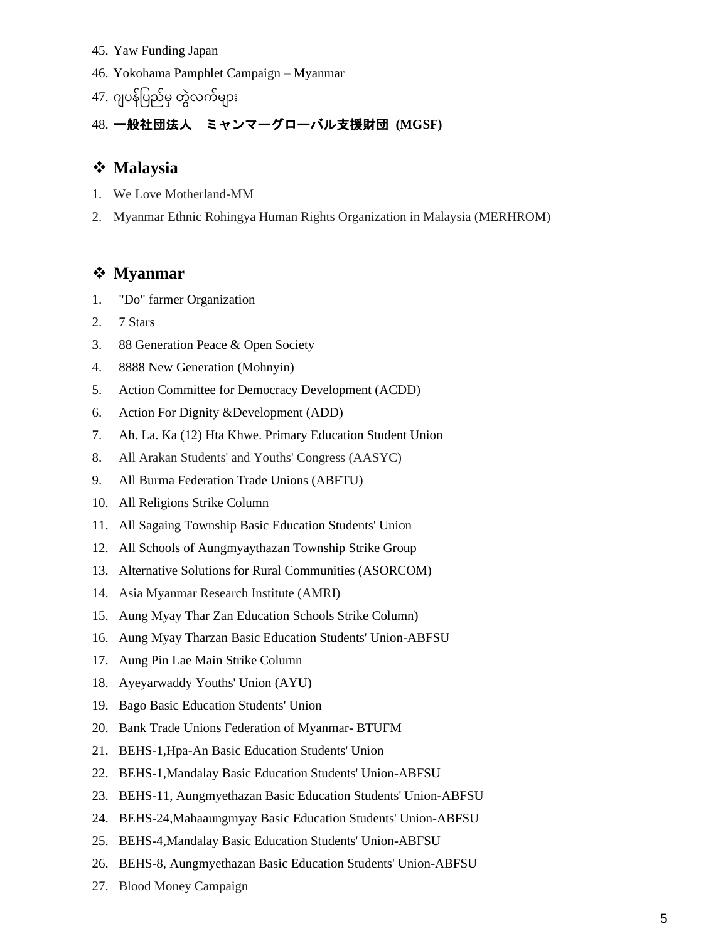- 45. Yaw Funding Japan
- 46. Yokohama Pamphlet Campaign Myanmar
- 47. ဂျပန်ပြည်မှ တွဲလက်များ

# 48. 一般社団法人 ミャンマーグローバル支援財団 **(MGSF)**

## ❖ **Malaysia**

- 1. We Love Motherland-MM
- 2. Myanmar Ethnic Rohingya Human Rights Organization in Malaysia (MERHROM)

### ❖ **Myanmar**

- 1. "Do" farmer Organization
- 2. 7 Stars
- 3. 88 Generation Peace & Open Society
- 4. 8888 New Generation (Mohnyin)
- 5. Action Committee for Democracy Development (ACDD)
- 6. Action For Dignity &Development (ADD)
- 7. Ah. La. Ka (12) Hta Khwe. Primary Education Student Union
- 8. All Arakan Students' and Youths' Congress (AASYC)
- 9. All Burma Federation Trade Unions (ABFTU)
- 10. All Religions Strike Column
- 11. All Sagaing Township Basic Education Students' Union
- 12. All Schools of Aungmyaythazan Township Strike Group
- 13. Alternative Solutions for Rural Communities (ASORCOM)
- 14. Asia Myanmar Research Institute (AMRI)
- 15. Aung Myay Thar Zan Education Schools Strike Column)
- 16. Aung Myay Tharzan Basic Education Students' Union-ABFSU
- 17. Aung Pin Lae Main Strike Column
- 18. Ayeyarwaddy Youths' Union (AYU)
- 19. Bago Basic Education Students' Union
- 20. Bank Trade Unions Federation of Myanmar- BTUFM
- 21. BEHS-1,Hpa-An Basic Education Students' Union
- 22. BEHS-1,Mandalay Basic Education Students' Union-ABFSU
- 23. BEHS-11, Aungmyethazan Basic Education Students' Union-ABFSU
- 24. BEHS-24,Mahaaungmyay Basic Education Students' Union-ABFSU
- 25. BEHS-4,Mandalay Basic Education Students' Union-ABFSU
- 26. BEHS-8, Aungmyethazan Basic Education Students' Union-ABFSU
- 27. Blood Money Campaign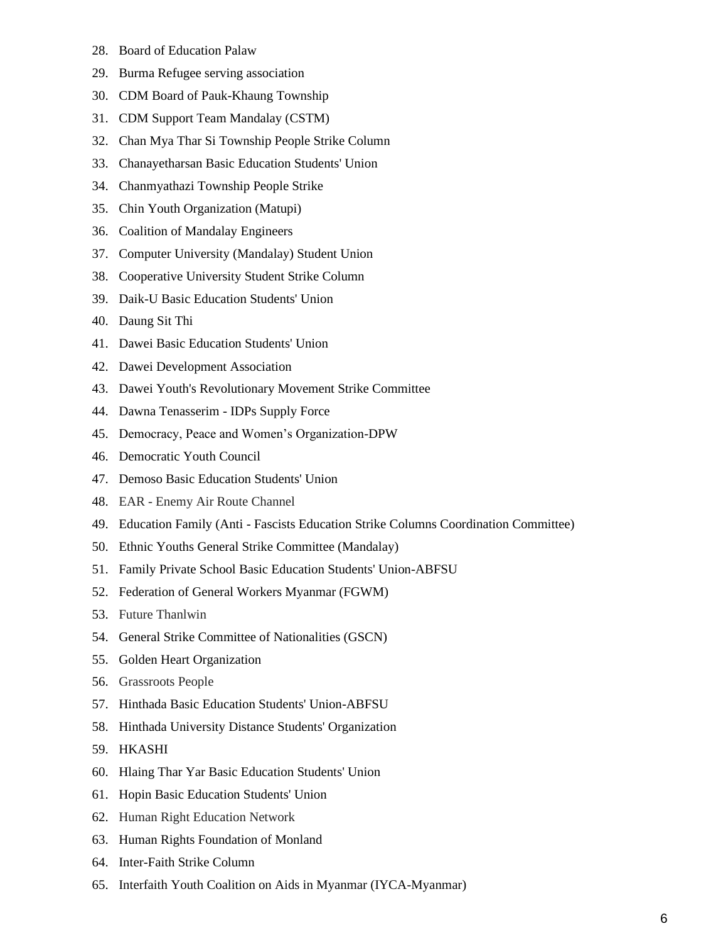- 28. Board of Education Palaw
- 29. Burma Refugee serving association
- 30. CDM Board of Pauk-Khaung Township
- 31. CDM Support Team Mandalay (CSTM)
- 32. Chan Mya Thar Si Township People Strike Column
- 33. Chanayetharsan Basic Education Students' Union
- 34. Chanmyathazi Township People Strike
- 35. Chin Youth Organization (Matupi)
- 36. Coalition of Mandalay Engineers
- 37. Computer University (Mandalay) Student Union
- 38. Cooperative University Student Strike Column
- 39. Daik-U Basic Education Students' Union
- 40. Daung Sit Thi
- 41. Dawei Basic Education Students' Union
- 42. Dawei Development Association
- 43. Dawei Youth's Revolutionary Movement Strike Committee
- 44. Dawna Tenasserim IDPs Supply Force
- 45. Democracy, Peace and Women's Organization-DPW
- 46. Democratic Youth Council
- 47. Demoso Basic Education Students' Union
- 48. EAR Enemy Air Route Channel
- 49. Education Family (Anti Fascists Education Strike Columns Coordination Committee)
- 50. Ethnic Youths General Strike Committee (Mandalay)
- 51. Family Private School Basic Education Students' Union-ABFSU
- 52. Federation of General Workers Myanmar (FGWM)
- 53. Future Thanlwin
- 54. General Strike Committee of Nationalities (GSCN)
- 55. Golden Heart Organization
- 56. Grassroots People
- 57. Hinthada Basic Education Students' Union-ABFSU
- 58. Hinthada University Distance Students' Organization
- 59. HKASHI
- 60. Hlaing Thar Yar Basic Education Students' Union
- 61. Hopin Basic Education Students' Union
- 62. Human Right Education Network
- 63. Human Rights Foundation of Monland
- 64. Inter-Faith Strike Column
- 65. Interfaith Youth Coalition on Aids in Myanmar (IYCA-Myanmar)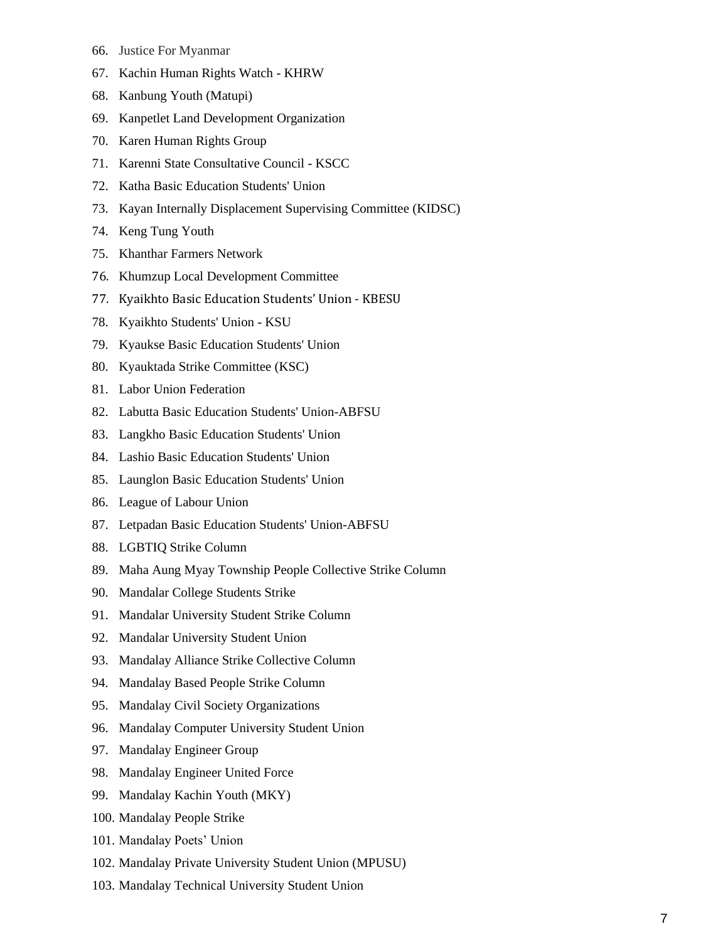- 66. Justice For Myanmar
- 67. Kachin Human Rights Watch KHRW
- 68. Kanbung Youth (Matupi)
- 69. Kanpetlet Land Development Organization
- 70. Karen Human Rights Group
- 71. Karenni State Consultative Council KSCC
- 72. Katha Basic Education Students' Union
- 73. Kayan Internally Displacement Supervising Committee (KIDSC)
- 74. Keng Tung Youth
- 75. Khanthar Farmers Network
- 76. Khumzup Local Development Committee
- 77. Kyaikhto Basic Education Students' Union KBESU
- 78. Kyaikhto Students' Union KSU
- 79. Kyaukse Basic Education Students' Union
- 80. Kyauktada Strike Committee (KSC)
- 81. Labor Union Federation
- 82. Labutta Basic Education Students' Union-ABFSU
- 83. Langkho Basic Education Students' Union
- 84. Lashio Basic Education Students' Union
- 85. Launglon Basic Education Students' Union
- 86. League of Labour Union
- 87. Letpadan Basic Education Students' Union-ABFSU
- 88. LGBTIQ Strike Column
- 89. Maha Aung Myay Township People Collective Strike Column
- 90. Mandalar College Students Strike
- 91. Mandalar University Student Strike Column
- 92. Mandalar University Student Union
- 93. Mandalay Alliance Strike Collective Column
- 94. Mandalay Based People Strike Column
- 95. Mandalay Civil Society Organizations
- 96. Mandalay Computer University Student Union
- 97. Mandalay Engineer Group
- 98. Mandalay Engineer United Force
- 99. Mandalay Kachin Youth (MKY)
- 100. Mandalay People Strike
- 101. Mandalay Poets' Union
- 102. Mandalay Private University Student Union (MPUSU)
- 103. Mandalay Technical University Student Union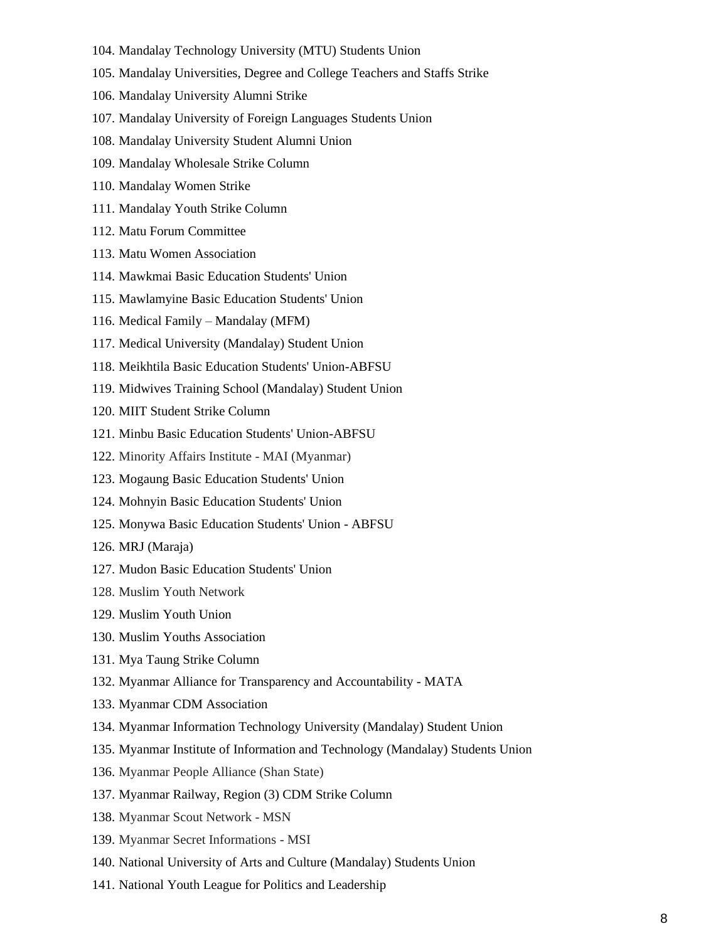- 104. Mandalay Technology University (MTU) Students Union
- 105. Mandalay Universities, Degree and College Teachers and Staffs Strike
- 106. Mandalay University Alumni Strike
- 107. Mandalay University of Foreign Languages Students Union
- 108. Mandalay University Student Alumni Union
- 109. Mandalay Wholesale Strike Column
- 110. Mandalay Women Strike
- 111. Mandalay Youth Strike Column
- 112. Matu Forum Committee
- 113. Matu Women Association
- 114. Mawkmai Basic Education Students' Union
- 115. Mawlamyine Basic Education Students' Union
- 116. Medical Family Mandalay (MFM)
- 117. Medical University (Mandalay) Student Union
- 118. Meikhtila Basic Education Students' Union-ABFSU
- 119. Midwives Training School (Mandalay) Student Union
- 120. MIIT Student Strike Column
- 121. Minbu Basic Education Students' Union-ABFSU
- 122. Minority Affairs Institute MAI (Myanmar)
- 123. Mogaung Basic Education Students' Union
- 124. Mohnyin Basic Education Students' Union
- 125. Monywa Basic Education Students' Union ABFSU
- 126. MRJ (Maraja)
- 127. Mudon Basic Education Students' Union
- 128. Muslim Youth Network
- 129. Muslim Youth Union
- 130. Muslim Youths Association
- 131. Mya Taung Strike Column
- 132. [Myanmar Alliance for Transparency and Accountability -](https://www.facebook.com/MATANRGMYANMAR/) MATA
- 133. Myanmar CDM Association
- 134. Myanmar Information Technology University (Mandalay) Student Union
- 135. Myanmar Institute of Information and Technology (Mandalay) Students Union
- 136. Myanmar People Alliance (Shan State)
- 137. Myanmar Railway, Region (3) CDM Strike Column
- 138. Myanmar Scout Network MSN
- 139. Myanmar Secret Informations MSI
- 140. National University of Arts and Culture (Mandalay) Students Union
- 141. National Youth League for Politics and Leadership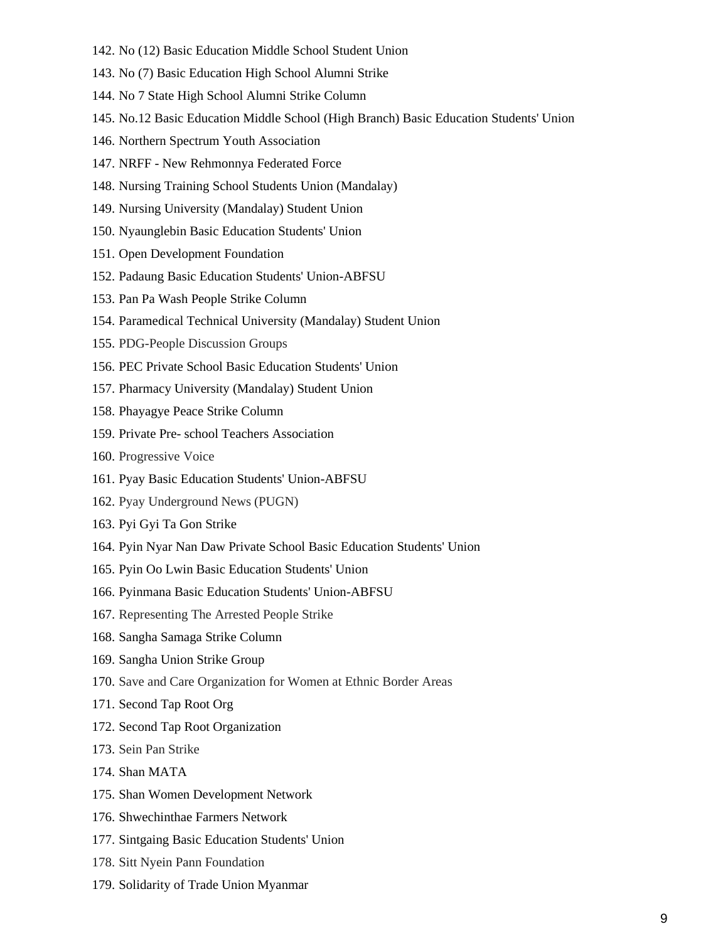- 142. No (12) Basic Education Middle School Student Union
- 143. No (7) Basic Education High School Alumni Strike
- 144. No 7 State High School Alumni Strike Column
- 145. No.12 Basic Education Middle School (High Branch) Basic Education Students' Union
- 146. Northern Spectrum Youth Association
- 147. NRFF New Rehmonnya Federated Force
- 148. Nursing Training School Students Union (Mandalay)
- 149. Nursing University (Mandalay) Student Union
- 150. Nyaunglebin Basic Education Students' Union
- 151. Open Development Foundation
- 152. Padaung Basic Education Students' Union-ABFSU
- 153. Pan Pa Wash People Strike Column
- 154. Paramedical Technical University (Mandalay) Student Union
- 155. PDG-People Discussion Groups
- 156. PEC Private School Basic Education Students' Union
- 157. Pharmacy University (Mandalay) Student Union
- 158. Phayagye Peace Strike Column
- 159. Private Pre- school Teachers Association
- 160. Progressive Voice
- 161. Pyay Basic Education Students' Union-ABFSU
- 162. Pyay Underground News (PUGN)
- 163. Pyi Gyi Ta Gon Strike
- 164. Pyin Nyar Nan Daw Private School Basic Education Students' Union
- 165. Pyin Oo Lwin Basic Education Students' Union
- 166. Pyinmana Basic Education Students' Union-ABFSU
- 167. Representing The Arrested People Strike
- 168. Sangha Samaga Strike Column
- 169. Sangha Union Strike Group
- 170. Save and Care Organization for Women at Ethnic Border Areas
- 171. Second Tap Root Org
- 172. Second Tap Root Organization
- 173. Sein Pan Strike
- 174. Shan MATA
- 175. Shan Women Development Network
- 176. Shwechinthae Farmers Network
- 177. Sintgaing Basic Education Students' Union
- 178. Sitt Nyein Pann Foundation
- 179. Solidarity of Trade Union Myanmar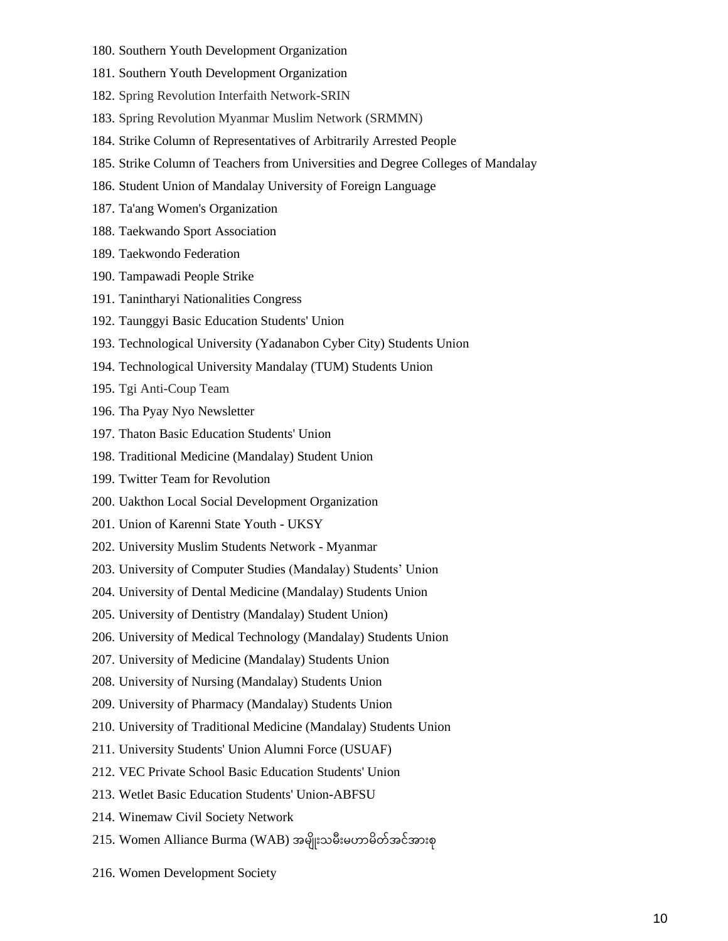- 180. Southern Youth Development Organization
- 181. Southern Youth Development Organization
- 182. Spring Revolution Interfaith Network-SRIN
- 183. Spring Revolution Myanmar Muslim Network (SRMMN)
- 184. Strike Column of Representatives of Arbitrarily Arrested People
- 185. Strike Column of Teachers from Universities and Degree Colleges of Mandalay
- 186. Student Union of Mandalay University of Foreign Language
- 187. Ta'ang Women's Organization
- 188. Taekwando Sport Association
- 189. Taekwondo Federation
- 190. Tampawadi People Strike
- 191. Tanintharyi Nationalities Congress
- 192. Taunggyi Basic Education Students' Union
- 193. Technological University (Yadanabon Cyber City) Students Union
- 194. Technological University Mandalay (TUM) Students Union
- 195. Tgi Anti-Coup Team
- 196. Tha Pyay Nyo Newsletter
- 197. Thaton Basic Education Students' Union
- 198. Traditional Medicine (Mandalay) Student Union
- 199. Twitter Team for Revolution
- 200. Uakthon Local Social Development Organization
- 201. Union of Karenni State Youth UKSY
- 202. University Muslim Students Network Myanmar
- 203. University of Computer Studies (Mandalay) Students' Union
- 204. University of Dental Medicine (Mandalay) Students Union
- 205. University of Dentistry (Mandalay) Student Union)
- 206. University of Medical Technology (Mandalay) Students Union
- 207. University of Medicine (Mandalay) Students Union
- 208. University of Nursing (Mandalay) Students Union
- 209. University of Pharmacy (Mandalay) Students Union
- 210. University of Traditional Medicine (Mandalay) Students Union
- 211. University Students' Union Alumni Force (USUAF)
- 212. VEC Private School Basic Education Students' Union
- 213. Wetlet Basic Education Students' Union-ABFSU
- 214. Winemaw Civil Society Network
- 215. Women Alliance Burma (WAB) အမျိုးသမီးမဟာမိတ်အင်အားစု
- 216. Women Development Society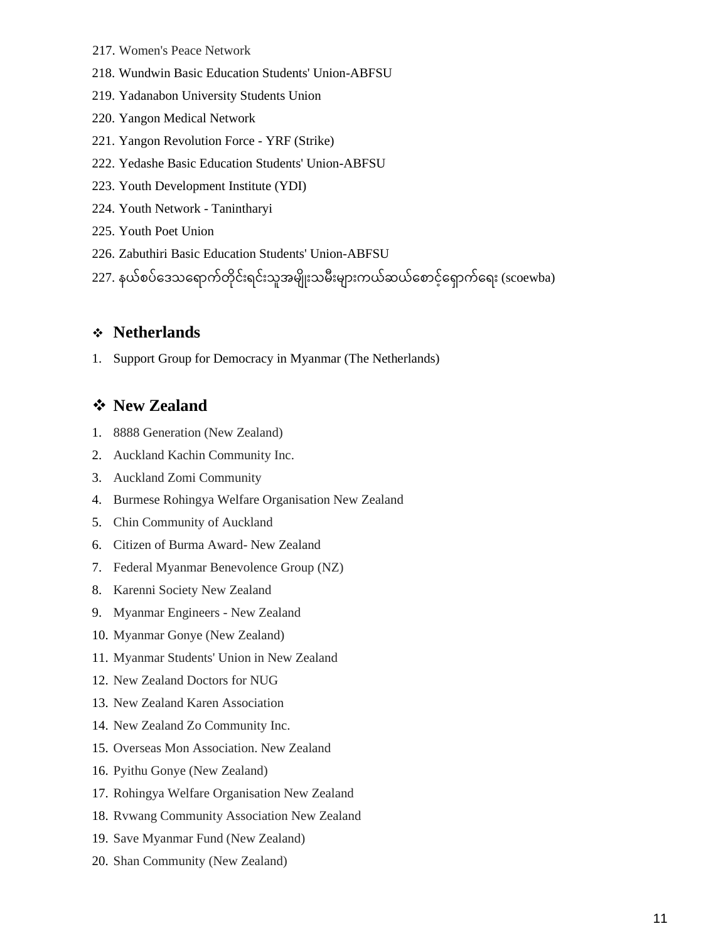- 217. Women's Peace Network
- 218. Wundwin Basic Education Students' Union-ABFSU
- 219. Yadanabon University Students Union
- 220. Yangon Medical Network
- 221. Yangon Revolution Force YRF (Strike)
- 222. Yedashe Basic Education Students' Union-ABFSU
- 223. Youth Development Institute (YDI)
- 224. Youth Network Tanintharyi
- 225. Youth Poet Union
- 226. Zabuthiri Basic Education Students' Union-ABFSU

227. နယ်စပ်ဒေသရောက်တိုင်းရင်းသူအမျိုးသမီးများကယ်ဆယ်စောင့်ရှောက်ရေး (scoewba)

### ❖ **Netherlands**

1. Support Group for Democracy in Myanmar (The Netherlands)

### ❖ **New Zealand**

- 1. 8888 Generation (New Zealand)
- 2. Auckland Kachin Community Inc.
- 3. Auckland Zomi Community
- 4. Burmese Rohingya Welfare Organisation New Zealand
- 5. Chin Community of Auckland
- 6. Citizen of Burma Award- New Zealand
- 7. Federal Myanmar Benevolence Group (NZ)
- 8. Karenni Society New Zealand
- 9. Myanmar Engineers New Zealand
- 10. Myanmar Gonye (New Zealand)
- 11. Myanmar Students' Union in New Zealand
- 12. New Zealand Doctors for NUG
- 13. New Zealand Karen Association
- 14. New Zealand Zo Community Inc.
- 15. Overseas Mon Association. New Zealand
- 16. Pyithu Gonye (New Zealand)
- 17. Rohingya Welfare Organisation New Zealand
- 18. Rvwang Community Association New Zealand
- 19. Save Myanmar Fund (New Zealand)
- 20. Shan Community (New Zealand)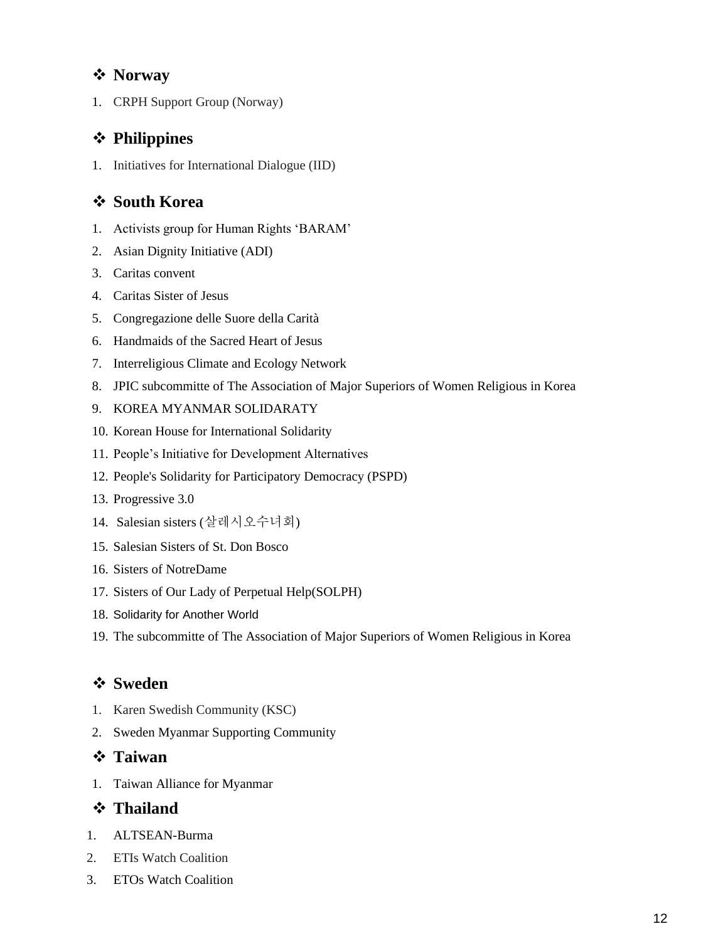## ❖ **Norway**

1. CRPH Support Group (Norway)

# ❖ **Philippines**

1. Initiatives for International Dialogue (IID)

# ❖ **South Korea**

- 1. Activists group for Human Rights 'BARAM'
- 2. Asian Dignity Initiative (ADI)
- 3. Caritas convent
- 4. Caritas Sister of Jesus
- 5. Congregazione delle Suore della Carità
- 6. Handmaids of the Sacred Heart of Jesus
- 7. Interreligious Climate and Ecology Network
- 8. JPIC subcommitte of The Association of Major Superiors of Women Religious in Korea
- 9. KOREA MYANMAR SOLIDARATY
- 10. Korean House for International Solidarity
- 11. People's Initiative for Development Alternatives
- 12. People's Solidarity for Participatory Democracy (PSPD)
- 13. Progressive 3.0
- 14. Salesian sisters (살레시오수녀회)
- 15. Salesian Sisters of St. Don Bosco
- 16. Sisters of NotreDame
- 17. Sisters of Our Lady of Perpetual Help(SOLPH)
- 18. Solidarity for Another World
- 19. The subcommitte of The Association of Major Superiors of Women Religious in Korea

# ❖ **Sweden**

- 1. Karen Swedish Community (KSC)
- 2. Sweden Myanmar Supporting Community

# ❖ **Taiwan**

1. Taiwan Alliance for Myanmar

# ❖ **Thailand**

- 1. ALTSEAN-Burma
- 2. ETIs Watch Coalition
- 3. ETOs Watch Coalition